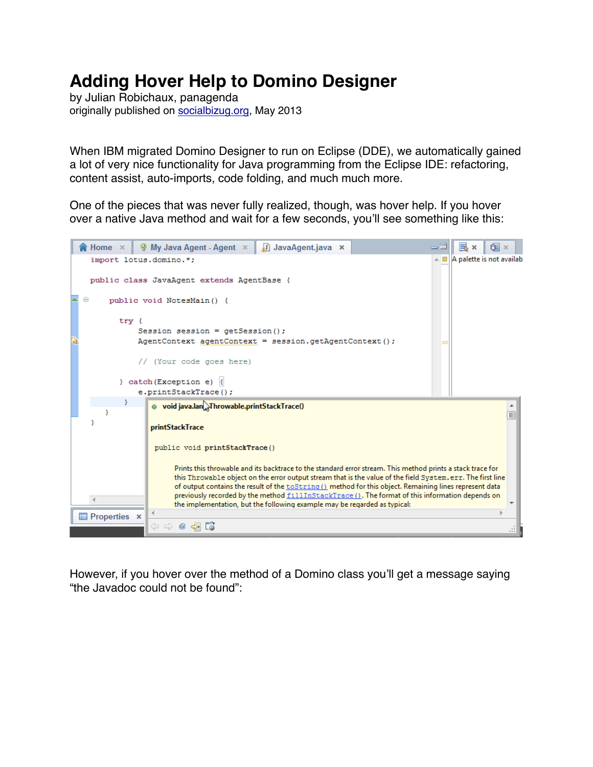# **Adding Hover Help to Domino Designer**

by Julian Robichaux, panagenda originally published on [socialbizug.org](http://socialbizug.org), May 2013

When IBM migrated Domino Designer to run on Eclipse (DDE), we automatically gained a lot of very nice functionality for Java programming from the Eclipse IDE: refactoring, content assist, auto-imports, code folding, and much much more.

One of the pieces that was never fully realized, though, was hover help. If you hover over a native Java method and wait for a few seconds, you'll see something like this:



However, if you hover over the method of a Domino class you'll get a message saying "the Javadoc could not be found":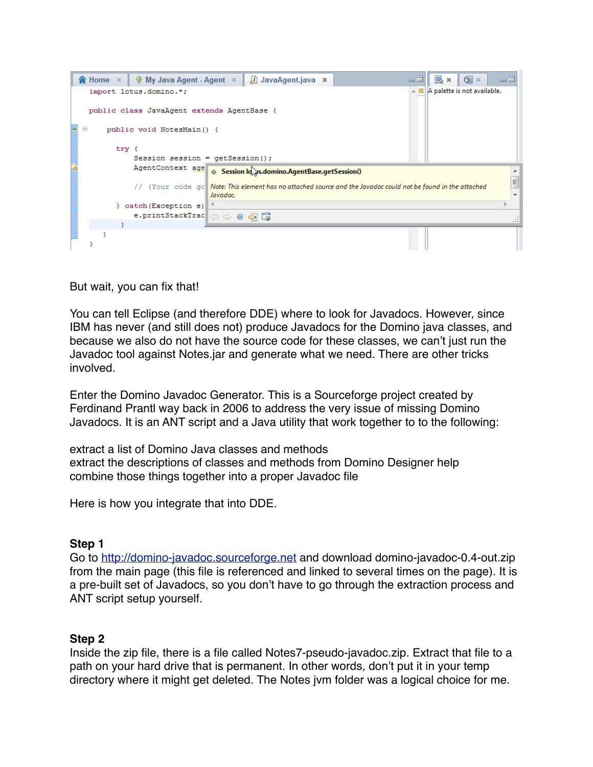

But wait, you can fix that!

You can tell Eclipse (and therefore DDE) where to look for Javadocs. However, since IBM has never (and still does not) produce Javadocs for the Domino java classes, and because we also do not have the source code for these classes, we can't just run the Javadoc tool against Notes.jar and generate what we need. There are other tricks involved.

Enter the Domino Javadoc Generator. This is a Sourceforge project created by Ferdinand Prantl way back in 2006 to address the very issue of missing Domino Javadocs. It is an ANT script and a Java utility that work together to to the following:

extract a list of Domino Java classes and methods extract the descriptions of classes and methods from Domino Designer help combine those things together into a proper Javadoc file

Here is how you integrate that into DDE.

## **Step 1**

Go to [http://domino-javadoc.sourceforge.net](http://domino-javadoc.sourceforge.net/) and download domino-javadoc-0.4-out.zip from the main page (this file is referenced and linked to several times on the page). It is a pre-built set of Javadocs, so you don't have to go through the extraction process and ANT script setup yourself.

## **Step 2**

Inside the zip file, there is a file called Notes7-pseudo-javadoc.zip. Extract that file to a path on your hard drive that is permanent. In other words, don't put it in your temp directory where it might get deleted. The Notes jvm folder was a logical choice for me.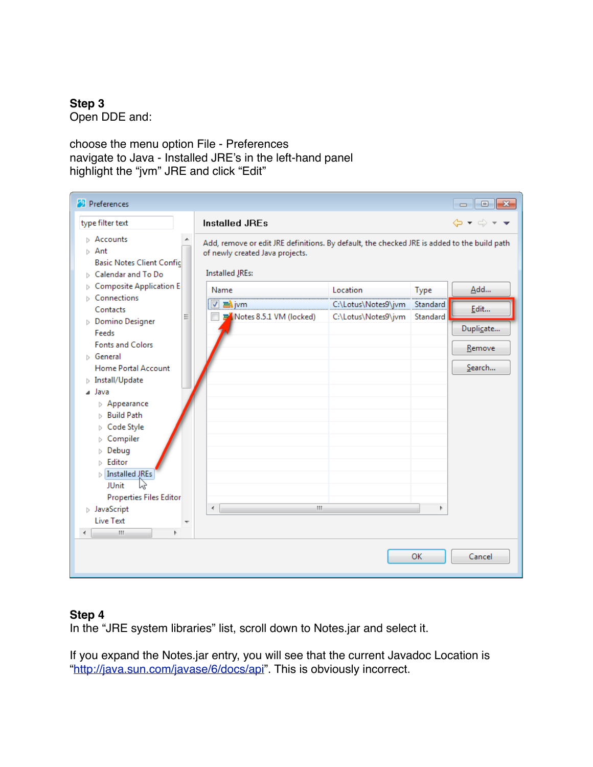**Step 3** Open DDE and:

choose the menu option File - Preferences navigate to Java - Installed JRE's in the left-hand panel highlight the "jvm" JRE and click "Edit"

| <b>C</b> Preferences                                                                                                                                           |                                                                                                                                                          |                                            |                      | $-1$<br>$\Box$                                              |
|----------------------------------------------------------------------------------------------------------------------------------------------------------------|----------------------------------------------------------------------------------------------------------------------------------------------------------|--------------------------------------------|----------------------|-------------------------------------------------------------|
| type filter text                                                                                                                                               | <b>Installed JREs</b>                                                                                                                                    |                                            |                      | $\Leftrightarrow$ $\star$ $\Leftrightarrow$ $\star$ $\star$ |
| $\triangleright$ Accounts<br>$\triangleright$ Ant<br><b>Basic Notes Client Confic</b><br>$\triangleright$ Calendar and To Do<br><b>Composite Application E</b> | Add, remove or edit JRE definitions. By default, the checked JRE is added to the build path<br>of newly created Java projects.<br><b>Installed JREs:</b> |                                            |                      |                                                             |
| Þ<br>$\triangleright$ Connections                                                                                                                              | Name                                                                                                                                                     | Location                                   | Type                 | Add                                                         |
| Contacts<br>Ξ                                                                                                                                                  | $\nabla$ alivm<br>Notes 8.5.1 VM (locked)                                                                                                                | C:\Lotus\Notes9\jvm<br>C:\Lotus\Notes9\jvm | Standard<br>Standard | Edit                                                        |
| $\triangleright$ Domino Designer<br>Feeds                                                                                                                      |                                                                                                                                                          |                                            |                      | Duplicate                                                   |
| <b>Fonts and Colors</b>                                                                                                                                        |                                                                                                                                                          |                                            |                      | Remove                                                      |
| <b>Seneral</b>                                                                                                                                                 |                                                                                                                                                          |                                            |                      |                                                             |
| Home Portal Account                                                                                                                                            |                                                                                                                                                          |                                            |                      | Search                                                      |
| $\triangleright$ Install/Update                                                                                                                                |                                                                                                                                                          |                                            |                      |                                                             |
| ⊿ Java                                                                                                                                                         |                                                                                                                                                          |                                            |                      |                                                             |
| $\triangleright$ Appearance<br>$\triangleright$ Build Path                                                                                                     |                                                                                                                                                          |                                            |                      |                                                             |
| Code Style<br>⊳                                                                                                                                                |                                                                                                                                                          |                                            |                      |                                                             |
| Compiler<br>▷                                                                                                                                                  |                                                                                                                                                          |                                            |                      |                                                             |
| Debug<br>Þ                                                                                                                                                     |                                                                                                                                                          |                                            |                      |                                                             |
| $\triangleright$ Editor                                                                                                                                        |                                                                                                                                                          |                                            |                      |                                                             |
| <b>Installed JREs</b>                                                                                                                                          |                                                                                                                                                          |                                            |                      |                                                             |
| <b>JUnit</b><br>ЬŚ                                                                                                                                             |                                                                                                                                                          |                                            |                      |                                                             |
| <b>Properties Files Editor</b>                                                                                                                                 |                                                                                                                                                          |                                            |                      |                                                             |
| $\triangleright$ JavaScript                                                                                                                                    | m.<br>€                                                                                                                                                  |                                            | Þ                    |                                                             |
| <b>Live Text</b><br>$\overline{\phantom{a}}$<br>Ш<br>Þ                                                                                                         |                                                                                                                                                          |                                            |                      |                                                             |
| ∢                                                                                                                                                              |                                                                                                                                                          |                                            |                      |                                                             |
| OK<br>Cancel                                                                                                                                                   |                                                                                                                                                          |                                            |                      |                                                             |

## **Step 4**

In the "JRE system libraries" list, scroll down to Notes.jar and select it.

If you expand the Notes.jar entry, you will see that the current Javadoc Location is "[http://java.sun.com/javase/6/docs/api"](http://java.sun.com/javase/6/docs/api). This is obviously incorrect.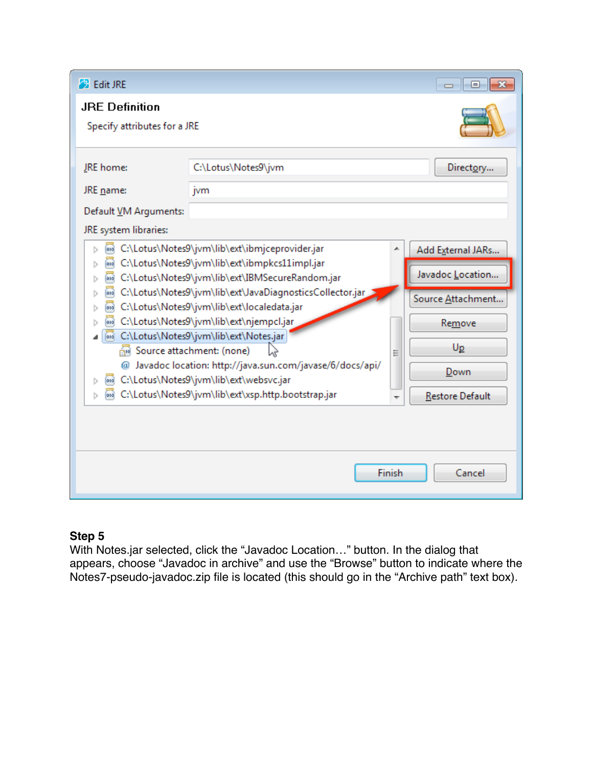| <b>B</b> Edit JRE                                                                                                                                                                               |                                                                                                      |                                       | -0<br>$\Box$           |  |  |
|-------------------------------------------------------------------------------------------------------------------------------------------------------------------------------------------------|------------------------------------------------------------------------------------------------------|---------------------------------------|------------------------|--|--|
| <b>JRE Definition</b><br>Specify attributes for a JRE                                                                                                                                           |                                                                                                      |                                       |                        |  |  |
| JRE home:<br>JRE name:<br>Default VM Arguments:                                                                                                                                                 | C:\Lotus\Notes9\jvm<br>jvm                                                                           |                                       | Directory              |  |  |
| JRE system libraries:                                                                                                                                                                           |                                                                                                      |                                       |                        |  |  |
| C:\Lotus\Notes9\jvm\lib\ext\ibmjceprovider.jar<br>010<br>Þ<br>C:\Lotus\Notes9\jvm\lib\ext\ibmpkcs11impl.jar<br>010<br>▷<br>010<br>Þ                                                             | ▲                                                                                                    | Add External JARs<br>Javadoc Location |                        |  |  |
| C:\Lotus\Notes9\jvm\lib\ext\IBMSecureRandom.jar<br>C:\Lotus\Notes9\jvm\lib\ext\JavaDiagnosticsCollector.jar<br>010<br>▷<br>Source Attachment<br>C:\Lotus\Notes9\jvm\lib\ext\localedata.jar<br>D |                                                                                                      |                                       |                        |  |  |
| C:\Lotus\Notes9\jvm\lib\ext\njempcl.jar<br>ь<br>ou C:\Lotus\Notes9\jvm\lib\ext\Notes.jar<br>┛                                                                                                   |                                                                                                      |                                       | Remove                 |  |  |
| Source attachment: (none)<br>Ξ                                                                                                                                                                  |                                                                                                      |                                       | $U_{p}$                |  |  |
| Þ                                                                                                                                                                                               | @ Javadoc location: http://java.sun.com/javase/6/docs/api/<br>C:\Lotus\Notes9\jvm\lib\ext\websvc.jar |                                       | Down                   |  |  |
| D                                                                                                                                                                                               | G:\Lotus\Notes9\jvm\lib\ext\xsp.http.bootstrap.jar                                                   |                                       | <b>Restore Default</b> |  |  |
|                                                                                                                                                                                                 |                                                                                                      |                                       |                        |  |  |
| Finish<br>Cancel                                                                                                                                                                                |                                                                                                      |                                       |                        |  |  |

# **Step 5**

With Notes.jar selected, click the "Javadoc Location…" button. In the dialog that appears, choose "Javadoc in archive" and use the "Browse" button to indicate where the Notes7-pseudo-javadoc.zip file is located (this should go in the "Archive path" text box).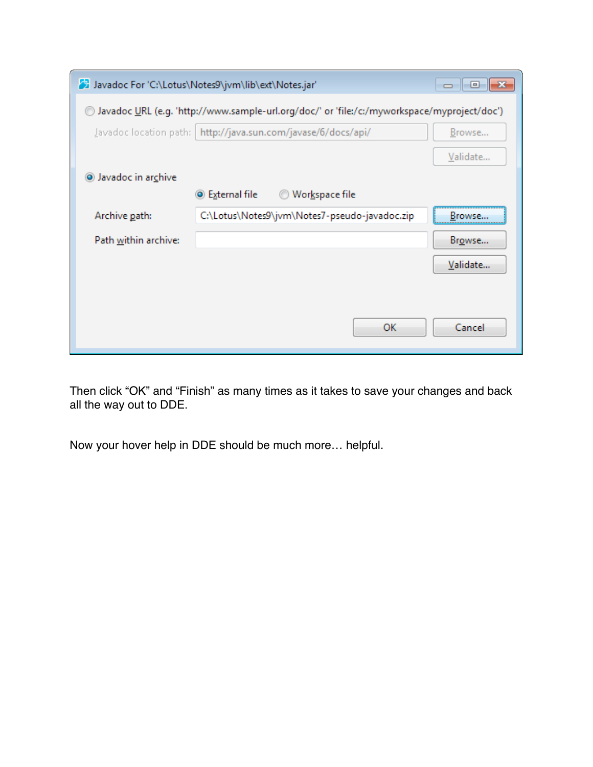|                                                                                             | Javadoc For 'C:\Lotus\Notes9\jvm\lib\ext\Notes.jar'             | - -      |  |  |  |
|---------------------------------------------------------------------------------------------|-----------------------------------------------------------------|----------|--|--|--|
| Javadoc URL (e.g. 'http://www.sample-url.org/doc/' or 'file:/c:/myworkspace/myproject/doc') |                                                                 |          |  |  |  |
|                                                                                             | Javadoc location path:   http://java.sun.com/javase/6/docs/api/ | Browse   |  |  |  |
|                                                                                             |                                                                 | Validate |  |  |  |
| Javadoc in archive                                                                          |                                                                 |          |  |  |  |
|                                                                                             | ◉ External file<br>Workspace file                               |          |  |  |  |
| Archive path:                                                                               | C:\Lotus\Notes9\jvm\Notes7-pseudo-javadoc.zip                   | Browse   |  |  |  |
| Path within archive:                                                                        |                                                                 | Browse   |  |  |  |
|                                                                                             |                                                                 | Validate |  |  |  |
|                                                                                             |                                                                 |          |  |  |  |
|                                                                                             |                                                                 |          |  |  |  |
|                                                                                             | ок                                                              | Cancel   |  |  |  |

Then click "OK" and "Finish" as many times as it takes to save your changes and back all the way out to DDE.

Now your hover help in DDE should be much more… helpful.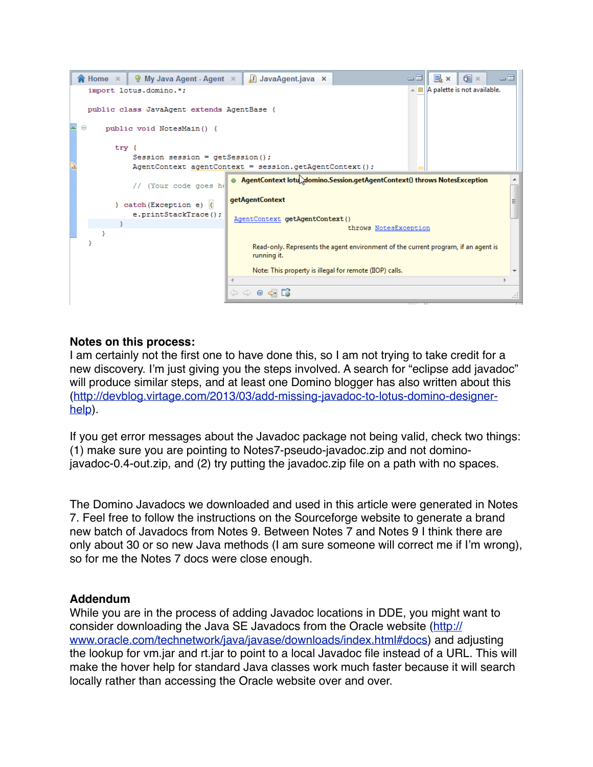

#### **Notes on this process:**

I am certainly not the first one to have done this, so I am not trying to take credit for a new discovery. I'm just giving you the steps involved. A search for "eclipse add javadoc" will produce similar steps, and at least one Domino blogger has also written about this [\(http://devblog.virtage.com/2013/03/add-missing-javadoc-to-lotus-domino-designer](http://devblog.virtage.com/2013/03/add-missing-javadoc-to-lotus-domino-designer-help/)[help\)](http://devblog.virtage.com/2013/03/add-missing-javadoc-to-lotus-domino-designer-help/).

If you get error messages about the Javadoc package not being valid, check two things: (1) make sure you are pointing to Notes7-pseudo-javadoc.zip and not [domino](http://prdownloads.sourceforge.net/domino-javadoc/domino-javadoc-0.4-out.zip?download)[javadoc-0.4-out.zip](http://prdownloads.sourceforge.net/domino-javadoc/domino-javadoc-0.4-out.zip?download), and (2) try putting the javadoc.zip file on a path with no spaces.

The Domino Javadocs we downloaded and used in this article were generated in Notes 7. Feel free to follow the instructions on the Sourceforge website to generate a brand new batch of Javadocs from Notes 9. Between Notes 7 and Notes 9 I think there are only about 30 or so new Java methods (I am sure someone will correct me if I'm wrong), so for me the Notes 7 docs were close enough.

#### **Addendum**

While you are in the process of adding Javadoc locations in DDE, you might want to consider downloading the Java SE Javadocs from the Oracle website ([http://](http://www.oracle.com/technetwork/java/javase/downloads/index.html#docs) [www.oracle.com/technetwork/java/javase/downloads/index.html#docs\)](http://www.oracle.com/technetwork/java/javase/downloads/index.html#docs) and adjusting the lookup for vm.jar and rt.jar to point to a local Javadoc file instead of a URL. This will make the hover help for standard Java classes work much faster because it will search locally rather than accessing the Oracle website over and over.